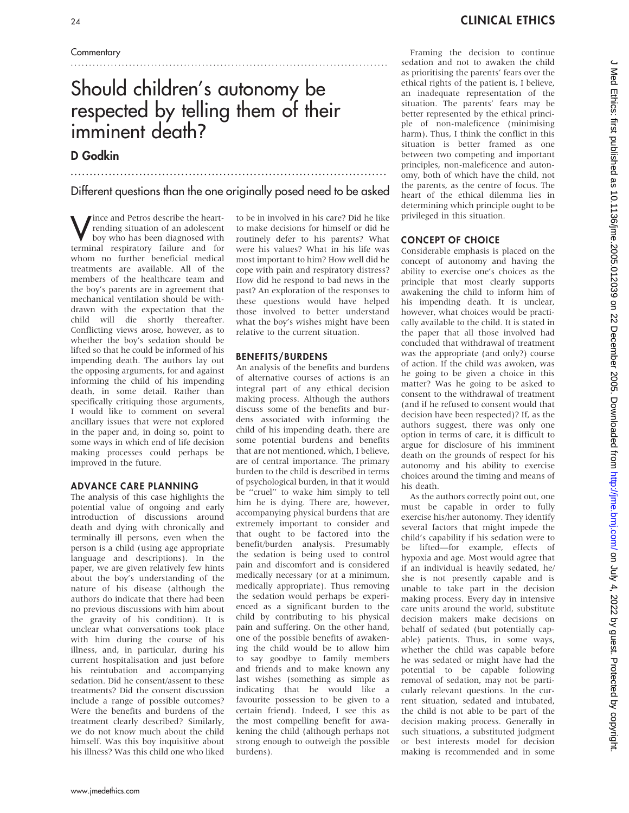### **Commentary**

# Should children's autonomy be respected by telling them of their imminent death?

## D Godkin

................................................................................... Different questions than the one originally posed need to be asked

.......................................................................................

Wince and Petros describe the heart-<br>
boy who has been diagnosed with<br>
terminal recoints with failure and for rending situation of an adolescent terminal respiratory failure and for whom no further beneficial medical treatments are available. All of the members of the healthcare team and the boy's parents are in agreement that mechanical ventilation should be withdrawn with the expectation that the child will die shortly thereafter. Conflicting views arose, however, as to whether the boy's sedation should be lifted so that he could be informed of his impending death. The authors lay out the opposing arguments, for and against informing the child of his impending death, in some detail. Rather than specifically critiquing those arguments, I would like to comment on several ancillary issues that were not explored in the paper and, in doing so, point to some ways in which end of life decision making processes could perhaps be improved in the future.

#### ADVANCE CARE PLANNING

The analysis of this case highlights the potential value of ongoing and early introduction of discussions around death and dying with chronically and terminally ill persons, even when the person is a child (using age appropriate language and descriptions). In the paper, we are given relatively few hints about the boy's understanding of the nature of his disease (although the authors do indicate that there had been no previous discussions with him about the gravity of his condition). It is unclear what conversations took place with him during the course of his illness, and, in particular, during his current hospitalisation and just before his reintubation and accompanying sedation. Did he consent/assent to these treatments? Did the consent discussion include a range of possible outcomes? Were the benefits and burdens of the treatment clearly described? Similarly, we do not know much about the child himself. Was this boy inquisitive about his illness? Was this child one who liked

to be in involved in his care? Did he like to make decisions for himself or did he routinely defer to his parents? What were his values? What in his life was most important to him? How well did he cope with pain and respiratory distress? How did he respond to bad news in the past? An exploration of the responses to these questions would have helped those involved to better understand what the boy's wishes might have been relative to the current situation.

#### BENEFITS/BURDENS

An analysis of the benefits and burdens of alternative courses of actions is an integral part of any ethical decision making process. Although the authors discuss some of the benefits and burdens associated with informing the child of his impending death, there are some potential burdens and benefits that are not mentioned, which, I believe, are of central importance. The primary burden to the child is described in terms of psychological burden, in that it would be ''cruel'' to wake him simply to tell him he is dying. There are, however, accompanying physical burdens that are extremely important to consider and that ought to be factored into the benefit/burden analysis. Presumably the sedation is being used to control pain and discomfort and is considered medically necessary (or at a minimum, medically appropriate). Thus removing the sedation would perhaps be experienced as a significant burden to the child by contributing to his physical pain and suffering. On the other hand, one of the possible benefits of awakening the child would be to allow him to say goodbye to family members and friends and to make known any last wishes (something as simple as indicating that he would like a favourite possession to be given to a certain friend). Indeed, I see this as the most compelling benefit for awakening the child (although perhaps not strong enough to outweigh the possible burdens).

Framing the decision to continue sedation and not to awaken the child as prioritising the parents' fears over the ethical rights of the patient is, I believe, an inadequate representation of the situation. The parents' fears may be better represented by the ethical principle of non-maleficence (minimising harm). Thus, I think the conflict in this situation is better framed as one between two competing and important principles, non-maleficence and autonomy, both of which have the child, not the parents, as the centre of focus. The heart of the ethical dilemma lies in determining which principle ought to be privileged in this situation.

#### CONCEPT OF CHOICE

Considerable emphasis is placed on the concept of autonomy and having the ability to exercise one's choices as the principle that most clearly supports awakening the child to inform him of his impending death. It is unclear, however, what choices would be practically available to the child. It is stated in the paper that all those involved had concluded that withdrawal of treatment was the appropriate (and only?) course of action. If the child was awoken, was he going to be given a choice in this matter? Was he going to be asked to consent to the withdrawal of treatment (and if he refused to consent would that decision have been respected)? If, as the authors suggest, there was only one option in terms of care, it is difficult to argue for disclosure of his imminent death on the grounds of respect for his autonomy and his ability to exercise choices around the timing and means of his death.

As the authors correctly point out, one must be capable in order to fully exercise his/her autonomy. They identify several factors that might impede the child's capability if his sedation were to be lifted—for example, effects of hypoxia and age. Most would agree that if an individual is heavily sedated, he/ she is not presently capable and is unable to take part in the decision making process. Every day in intensive care units around the world, substitute decision makers make decisions on behalf of sedated (but potentially capable) patients. Thus, in some ways, whether the child was capable before he was sedated or might have had the potential to be capable following removal of sedation, may not be particularly relevant questions. In the current situation, sedated and intubated, the child is not able to be part of the decision making process. Generally in such situations, a substituted judgment or best interests model for decision making is recommended and in some